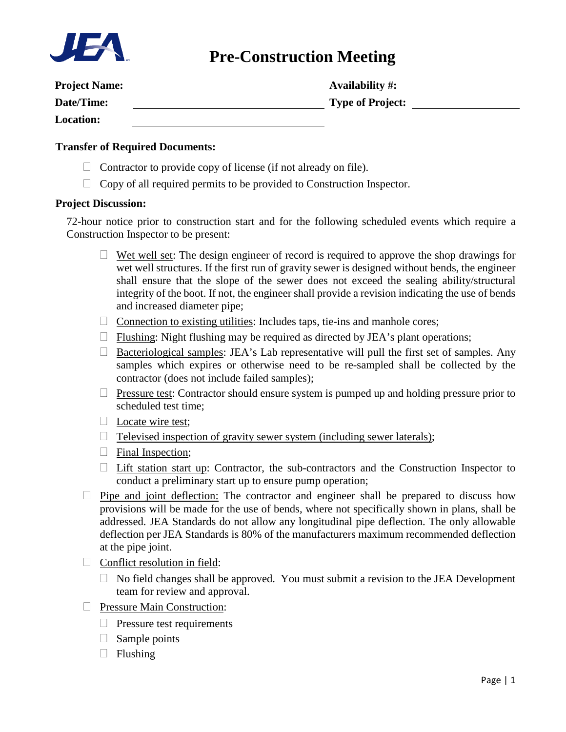

# **Pre-Construction Meeting**

| <b>Project Name:</b> | <b>Availability #:</b>  |
|----------------------|-------------------------|
| Date/Time:           | <b>Type of Project:</b> |
| <b>Location:</b>     |                         |

#### **Transfer of Required Documents:**

- $\Box$  Contractor to provide copy of license (if not already on file).
- $\Box$  Copy of all required permits to be provided to Construction Inspector.

### **Project Discussion:**

72-hour notice prior to construction start and for the following scheduled events which require a Construction Inspector to be present:

- $\Box$  Wet well set: The design engineer of record is required to approve the shop drawings for wet well structures. If the first run of gravity sewer is designed without bends, the engineer shall ensure that the slope of the sewer does not exceed the sealing ability/structural integrity of the boot. If not, the engineer shall provide a revision indicating the use of bends and increased diameter pipe;
- $\Box$  Connection to existing utilities: Includes taps, tie-ins and manhole cores;
- $\Box$  Flushing: Night flushing may be required as directed by JEA's plant operations;
- $\Box$  Bacteriological samples: JEA's Lab representative will pull the first set of samples. Any samples which expires or otherwise need to be re-sampled shall be collected by the contractor (does not include failed samples);
- $\Box$  Pressure test: Contractor should ensure system is pumped up and holding pressure prior to scheduled test time;
- $\Box$  Locate wire test;
- $\Box$  Televised inspection of gravity sewer system (including sewer laterals);
- $\Box$  Final Inspection;
- $\Box$  Lift station start up: Contractor, the sub-contractors and the Construction Inspector to conduct a preliminary start up to ensure pump operation;
- $\Box$  Pipe and joint deflection: The contractor and engineer shall be prepared to discuss how provisions will be made for the use of bends, where not specifically shown in plans, shall be addressed. JEA Standards do not allow any longitudinal pipe deflection. The only allowable deflection per JEA Standards is 80% of the manufacturers maximum recommended deflection at the pipe joint.
- $\Box$  Conflict resolution in field:
	- $\Box$  No field changes shall be approved. You must submit a revision to the JEA Development team for review and approval.
- **Pressure Main Construction:** 
	- $\Box$  Pressure test requirements
	- $\Box$  Sample points
	- $\Box$  Flushing